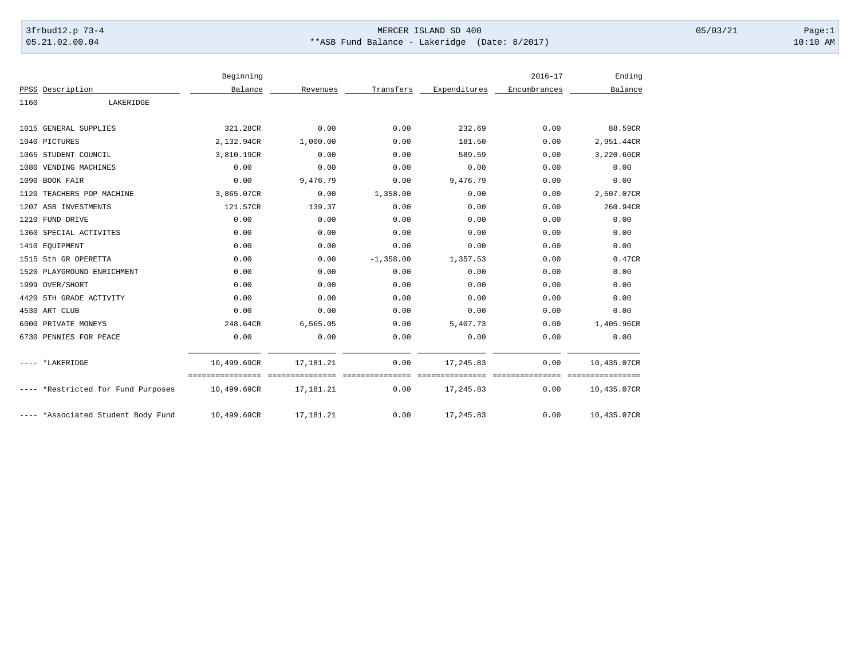## 3frbud12.p 73-4 Page:1 Page:1 05.21.02.00.04 \*\*ASB Fund Balance - Lakeridge (Date: 8/2017) 10:10 AM

|      |                                    | Beginning   |             |              |                              | $2016 - 17$               | Ending                     |
|------|------------------------------------|-------------|-------------|--------------|------------------------------|---------------------------|----------------------------|
|      | PPSS Description                   | Balance     | Revenues    | Transfers    | Expenditures                 | Encumbrances              | Balance                    |
| 1160 | LAKERIDGE                          |             |             |              |                              |                           |                            |
|      | 1015 GENERAL SUPPLIES              | 321.28CR    | 0.00        | 0.00         | 232.69                       | 0.00                      | 88.59CR                    |
|      | 1040 PICTURES                      | 2,132.94CR  | 1,000.00    | 0.00         | 181.50                       | 0.00                      | 2,951.44CR                 |
|      | 1065 STUDENT COUNCIL               | 3,810.19CR  | 0.00        | 0.00         | 589.59                       | 0.00                      | 3,220.60CR                 |
|      | 1080 VENDING MACHINES              | 0.00        | 0.00        | 0.00         | 0.00                         | 0.00                      | 0.00                       |
|      | 1090 BOOK FAIR                     | 0.00        | 9,476.79    | 0.00         | 9,476.79                     | 0.00                      | 0.00                       |
|      | 1120 TEACHERS POP MACHINE          | 3,865.07CR  | 0.00        | 1,358.00     | 0.00                         | 0.00                      | 2,507.07CR                 |
|      | 1207 ASB INVESTMENTS               | 121.57CR    | 139.37      | 0.00         | 0.00                         | 0.00                      | 260.94CR                   |
|      | 1210 FUND DRIVE                    | 0.00        | 0.00        | 0.00         | 0.00                         | 0.00                      | 0.00                       |
|      | 1360 SPECIAL ACTIVITES             | 0.00        | 0.00        | 0.00         | 0.00                         | 0.00                      | 0.00                       |
|      | 1410 EQUIPMENT                     | 0.00        | 0.00        | 0.00         | 0.00                         | 0.00                      | 0.00                       |
|      | 1515 5th GR OPERETTA               | 0.00        | 0.00        | $-1, 358.00$ |                              | 0.00                      | 0.47CR                     |
|      |                                    |             |             |              | 1,357.53                     |                           |                            |
|      | 1520 PLAYGROUND ENRICHMENT         | 0.00        | 0.00        | 0.00         | 0.00                         | 0.00                      | 0.00                       |
|      | 1999 OVER/SHORT                    | 0.00        | 0.00        | 0.00         | 0.00                         | 0.00                      | 0.00                       |
|      | 4420 5TH GRADE ACTIVITY            | 0.00        | 0.00        | 0.00         | 0.00                         | 0.00                      | 0.00                       |
|      | 4530 ART CLUB                      | 0.00        | 0.00        | 0.00         | 0.00                         | 0.00                      | 0.00                       |
|      | 6000 PRIVATE MONEYS                | 248.64CR    | 6,565.05    | 0.00         | 5,407.73                     | 0.00                      | 1,405.96CR                 |
|      | 6730 PENNIES FOR PEACE             | 0.00        | 0.00        | 0.00         | 0.00                         | 0.00                      | 0.00                       |
|      | ---- *LAKERIDGE                    | 10,499.69CR | 17, 181. 21 | 0.00         | 17,245.83                    | 0.00                      | 10,435.07CR                |
|      | ---- *Restricted for Fund Purposes | 10,499.69CR | 17,181.21   | 0.00         | seesseesseesses<br>17,245.83 | <b>Concoccoco</b><br>0.00 | ===========<br>10,435.07CR |
|      | ---- *Associated Student Body Fund | 10,499.69CR | 17,181.21   | 0.00         | 17,245.83                    | 0.00                      | 10,435.07CR                |